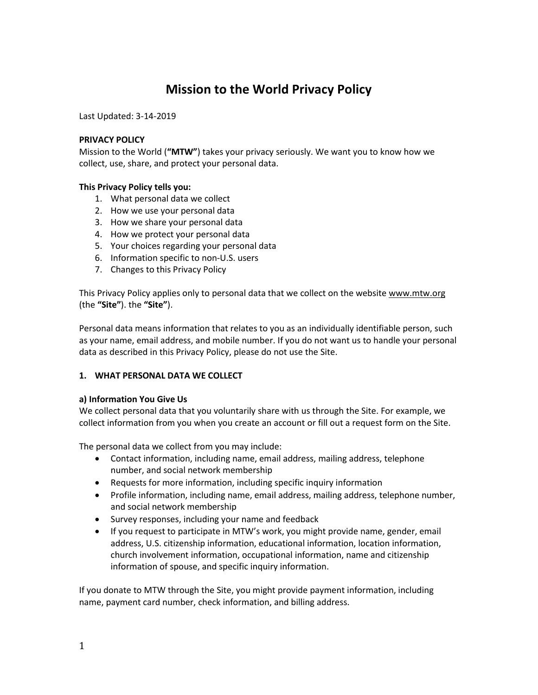# **Mission to the World Privacy Policy**

Last Updated: 3-14-2019

#### **PRIVACY POLICY**

Mission to the World (**"MTW"**) takes your privacy seriously. We want you to know how we collect, use, share, and protect your personal data.

# **This Privacy Policy tells you:**

- 1. What personal data we collect
- 2. How we use your personal data
- 3. How we share your personal data
- 4. How we protect your personal data
- 5. Your choices regarding your personal data
- 6. Information specific to non-U.S. users
- 7. Changes to this Privacy Policy

This Privacy Policy applies only to personal data that we collect on the website www.mtw.org (the **"Site"**). the **"Site"**).

Personal data means information that relates to you as an individually identifiable person, such as your name, email address, and mobile number. If you do not want us to handle your personal data as described in this Privacy Policy, please do not use the Site.

# **1. WHAT PERSONAL DATA WE COLLECT**

# **a) Information You Give Us**

We collect personal data that you voluntarily share with us through the Site. For example, we collect information from you when you create an account or fill out a request form on the Site.

The personal data we collect from you may include:

- Contact information, including name, email address, mailing address, telephone number, and social network membership
- Requests for more information, including specific inquiry information
- Profile information, including name, email address, mailing address, telephone number, and social network membership
- Survey responses, including your name and feedback
- If you request to participate in MTW's work, you might provide name, gender, email address, U.S. citizenship information, educational information, location information, church involvement information, occupational information, name and citizenship information of spouse, and specific inquiry information.

If you donate to MTW through the Site, you might provide payment information, including name, payment card number, check information, and billing address.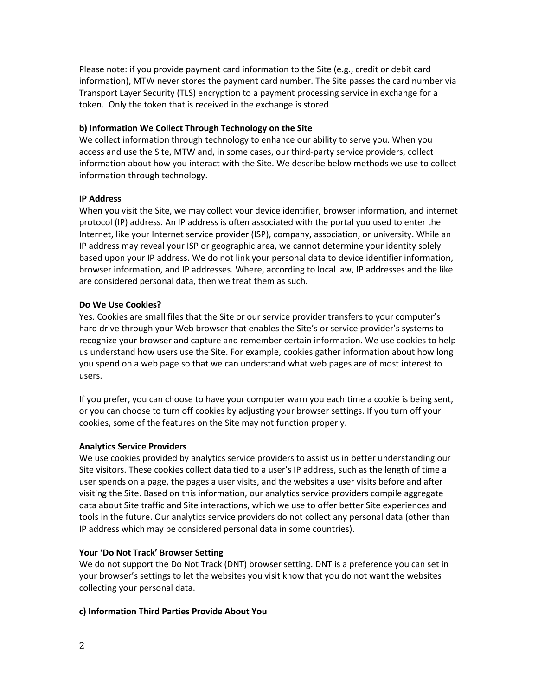Please note: if you provide payment card information to the Site (e.g., credit or debit card information), MTW never stores the payment card number. The Site passes the card number via Transport Layer Security (TLS) encryption to a payment processing service in exchange for a token. Only the token that is received in the exchange is stored

#### **b) Information We Collect Through Technology on the Site**

We collect information through technology to enhance our ability to serve you. When you access and use the Site, MTW and, in some cases, our third-party service providers, collect information about how you interact with the Site. We describe below methods we use to collect information through technology.

#### **IP Address**

When you visit the Site, we may collect your device identifier, browser information, and internet protocol (IP) address. An IP address is often associated with the portal you used to enter the Internet, like your Internet service provider (ISP), company, association, or university. While an IP address may reveal your ISP or geographic area, we cannot determine your identity solely based upon your IP address. We do not link your personal data to device identifier information, browser information, and IP addresses. Where, according to local law, IP addresses and the like are considered personal data, then we treat them as such.

# **Do We Use Cookies?**

Yes. Cookies are small files that the Site or our service provider transfers to your computer's hard drive through your Web browser that enables the Site's or service provider's systems to recognize your browser and capture and remember certain information. We use cookies to help us understand how users use the Site. For example, cookies gather information about how long you spend on a web page so that we can understand what web pages are of most interest to users.

If you prefer, you can choose to have your computer warn you each time a cookie is being sent, or you can choose to turn off cookies by adjusting your browser settings. If you turn off your cookies, some of the features on the Site may not function properly.

# **Analytics Service Providers**

We use cookies provided by analytics service providers to assist us in better understanding our Site visitors. These cookies collect data tied to a user's IP address, such as the length of time a user spends on a page, the pages a user visits, and the websites a user visits before and after visiting the Site. Based on this information, our analytics service providers compile aggregate data about Site traffic and Site interactions, which we use to offer better Site experiences and tools in the future. Our analytics service providers do not collect any personal data (other than IP address which may be considered personal data in some countries).

#### **Your 'Do Not Track' Browser Setting**

We do not support the Do Not Track (DNT) browser setting. DNT is a preference you can set in your browser's settings to let the websites you visit know that you do not want the websites collecting your personal data.

#### **c) Information Third Parties Provide About You**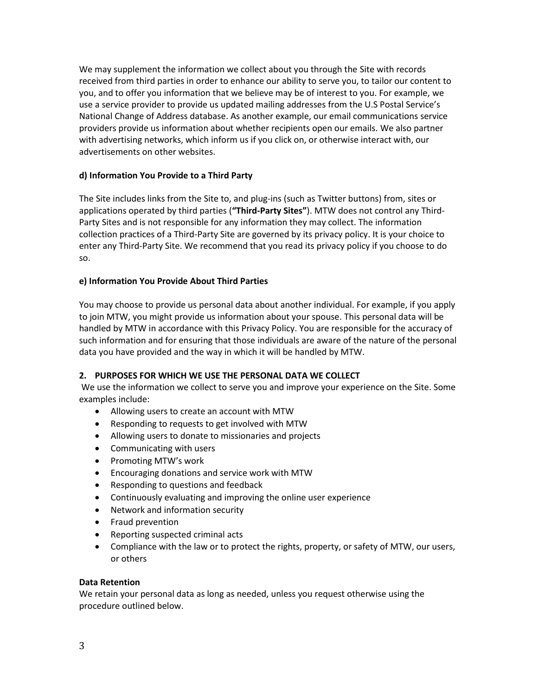We may supplement the information we collect about you through the Site with records received from third parties in order to enhance our ability to serve you, to tailor our content to you, and to offer you information that we believe may be of interest to you. For example, we use a service provider to provide us updated mailing addresses from the U.S Postal Service's National Change of Address database. As another example, our email communications service providers provide us information about whether recipients open our emails. We also partner with advertising networks, which inform us if you click on, or otherwise interact with, our advertisements on other websites.

# **d) Information You Provide to a Third Party**

The Site includes links from the Site to, and plug-ins (such as Twitter buttons) from, sites or applications operated by third parties (**"Third-Party Sites"**). MTW does not control any Third-Party Sites and is not responsible for any information they may collect. The information collection practices of a Third-Party Site are governed by its privacy policy. It is your choice to enter any Third-Party Site. We recommend that you read its privacy policy if you choose to do so.

# **e) Information You Provide About Third Parties**

You may choose to provide us personal data about another individual. For example, if you apply to join MTW, you might provide us information about your spouse. This personal data will be handled by MTW in accordance with this Privacy Policy. You are responsible for the accuracy of such information and for ensuring that those individuals are aware of the nature of the personal data you have provided and the way in which it will be handled by MTW.

# **2. PURPOSES FOR WHICH WE USE THE PERSONAL DATA WE COLLECT**

We use the information we collect to serve you and improve your experience on the Site. Some examples include:

- Allowing users to create an account with MTW
- Responding to requests to get involved with MTW
- Allowing users to donate to missionaries and projects
- Communicating with users
- Promoting MTW's work
- Encouraging donations and service work with MTW
- Responding to questions and feedback
- Continuously evaluating and improving the online user experience
- Network and information security
- Fraud prevention
- Reporting suspected criminal acts
- Compliance with the law or to protect the rights, property, or safety of MTW, our users, or others

# **Data Retention**

We retain your personal data as long as needed, unless you request otherwise using the procedure outlined below.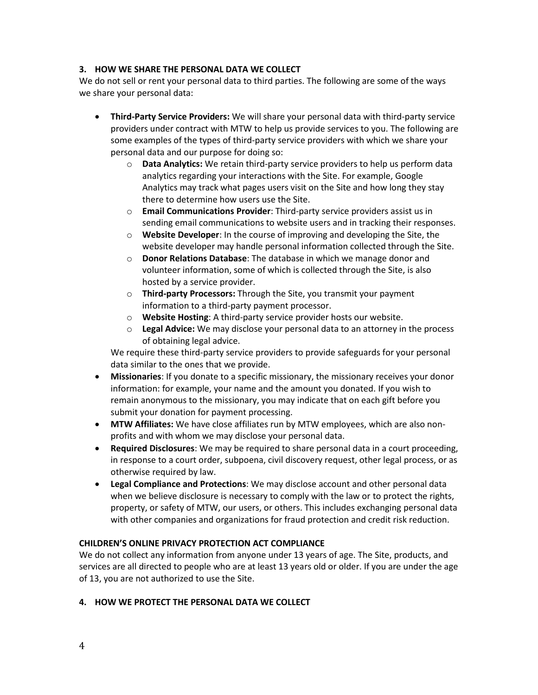# **3. HOW WE SHARE THE PERSONAL DATA WE COLLECT**

We do not sell or rent your personal data to third parties. The following are some of the ways we share your personal data:

- **Third-Party Service Providers:** We will share your personal data with third-party service providers under contract with MTW to help us provide services to you. The following are some examples of the types of third-party service providers with which we share your personal data and our purpose for doing so:
	- o **Data Analytics:** We retain third-party service providers to help us perform data analytics regarding your interactions with the Site. For example, Google Analytics may track what pages users visit on the Site and how long they stay there to determine how users use the Site.
	- o **Email Communications Provider**: Third-party service providers assist us in sending email communications to website users and in tracking their responses.
	- o **Website Developer**: In the course of improving and developing the Site, the website developer may handle personal information collected through the Site.
	- o **Donor Relations Database**: The database in which we manage donor and volunteer information, some of which is collected through the Site, is also hosted by a service provider.
	- o **Third-party Processors:** Through the Site, you transmit your payment information to a third-party payment processor.
	- o **Website Hosting**: A third-party service provider hosts our website.
	- o **Legal Advice:** We may disclose your personal data to an attorney in the process of obtaining legal advice.

We require these third-party service providers to provide safeguards for your personal data similar to the ones that we provide.

- **Missionaries**: If you donate to a specific missionary, the missionary receives your donor information: for example, your name and the amount you donated. If you wish to remain anonymous to the missionary, you may indicate that on each gift before you submit your donation for payment processing.
- **MTW Affiliates:** We have close affiliates run by MTW employees, which are also nonprofits and with whom we may disclose your personal data.
- **Required Disclosures**: We may be required to share personal data in a court proceeding, in response to a court order, subpoena, civil discovery request, other legal process, or as otherwise required by law.
- **Legal Compliance and Protections**: We may disclose account and other personal data when we believe disclosure is necessary to comply with the law or to protect the rights, property, or safety of MTW, our users, or others. This includes exchanging personal data with other companies and organizations for fraud protection and credit risk reduction.

# **CHILDREN'S ONLINE PRIVACY PROTECTION ACT COMPLIANCE**

We do not collect any information from anyone under 13 years of age. The Site, products, and services are all directed to people who are at least 13 years old or older. If you are under the age of 13, you are not authorized to use the Site.

# **4. HOW WE PROTECT THE PERSONAL DATA WE COLLECT**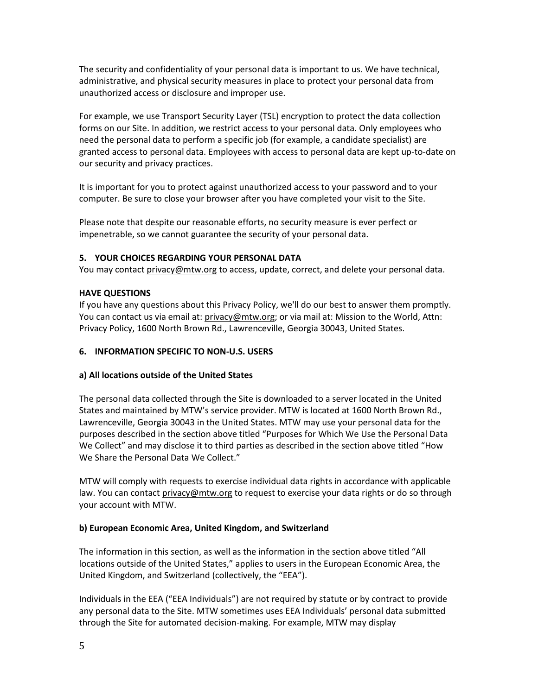The security and confidentiality of your personal data is important to us. We have technical, administrative, and physical security measures in place to protect your personal data from unauthorized access or disclosure and improper use.

For example, we use Transport Security Layer (TSL) encryption to protect the data collection forms on our Site. In addition, we restrict access to your personal data. Only employees who need the personal data to perform a specific job (for example, a candidate specialist) are granted access to personal data. Employees with access to personal data are kept up-to-date on our security and privacy practices.

It is important for you to protect against unauthorized access to your password and to your computer. Be sure to close your browser after you have completed your visit to the Site.

Please note that despite our reasonable efforts, no security measure is ever perfect or impenetrable, so we cannot guarantee the security of your personal data.

# **5. YOUR CHOICES REGARDING YOUR PERSONAL DATA**

You may contact [privacy@mtw.org](mailto:privacy@mtw.org) to access, update, correct, and delete your personal data.

# **HAVE QUESTIONS**

If you have any questions about this Privacy Policy, we'll do our best to answer them promptly. You can contact us via email at: [privacy@mtw.org;](mailto:privacy@mtw.org) or via mail at: Mission to the World, Attn: Privacy Policy, 1600 North Brown Rd., Lawrenceville, Georgia 30043, United States.

# **6. INFORMATION SPECIFIC TO NON-U.S. USERS**

# **a) All locations outside of the United States**

The personal data collected through the Site is downloaded to a server located in the United States and maintained by MTW's service provider. MTW is located at 1600 North Brown Rd., Lawrenceville, Georgia 30043 in the United States. MTW may use your personal data for the purposes described in the section above titled "Purposes for Which We Use the Personal Data We Collect" and may disclose it to third parties as described in the section above titled "How We Share the Personal Data We Collect."

MTW will comply with requests to exercise individual data rights in accordance with applicable law. You can contact privacy@mtw.org to request to exercise your data rights or do so through your account with MTW.

# **b) European Economic Area, United Kingdom, and Switzerland**

The information in this section, as well as the information in the section above titled "All locations outside of the United States," applies to users in the European Economic Area, the United Kingdom, and Switzerland (collectively, the "EEA").

Individuals in the EEA ("EEA Individuals") are not required by statute or by contract to provide any personal data to the Site. MTW sometimes uses EEA Individuals' personal data submitted through the Site for automated decision-making. For example, MTW may display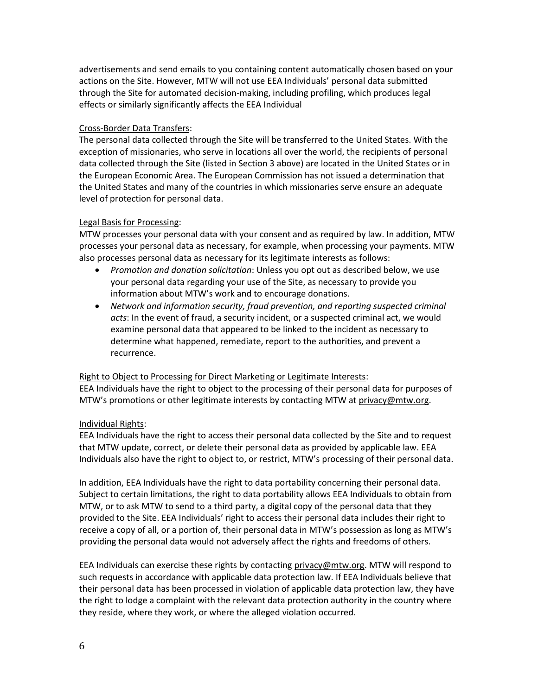advertisements and send emails to you containing content automatically chosen based on your actions on the Site. However, MTW will not use EEA Individuals' personal data submitted through the Site for automated decision-making, including profiling, which produces legal effects or similarly significantly affects the EEA Individual

# Cross-Border Data Transfers:

The personal data collected through the Site will be transferred to the United States. With the exception of missionaries, who serve in locations all over the world, the recipients of personal data collected through the Site (listed in Section 3 above) are located in the United States or in the European Economic Area. The European Commission has not issued a determination that the United States and many of the countries in which missionaries serve ensure an adequate level of protection for personal data.

# Legal Basis for Processing:

MTW processes your personal data with your consent and as required by law. In addition, MTW processes your personal data as necessary, for example, when processing your payments. MTW also processes personal data as necessary for its legitimate interests as follows:

- *Promotion and donation solicitation*: Unless you opt out as described below, we use your personal data regarding your use of the Site, as necessary to provide you information about MTW's work and to encourage donations.
- *Network and information security, fraud prevention, and reporting suspected criminal acts*: In the event of fraud, a security incident, or a suspected criminal act, we would examine personal data that appeared to be linked to the incident as necessary to determine what happened, remediate, report to the authorities, and prevent a recurrence.

# Right to Object to Processing for Direct Marketing or Legitimate Interests:

EEA Individuals have the right to object to the processing of their personal data for purposes of MTW's promotions or other legitimate interests by contacting MTW at [privacy@mtw.org.](mailto:privacy@mtw.org)

# Individual Rights:

EEA Individuals have the right to access their personal data collected by the Site and to request that MTW update, correct, or delete their personal data as provided by applicable law. EEA Individuals also have the right to object to, or restrict, MTW's processing of their personal data.

In addition, EEA Individuals have the right to data portability concerning their personal data. Subject to certain limitations, the right to data portability allows EEA Individuals to obtain from MTW, or to ask MTW to send to a third party, a digital copy of the personal data that they provided to the Site. EEA Individuals' right to access their personal data includes their right to receive a copy of all, or a portion of, their personal data in MTW's possession as long as MTW's providing the personal data would not adversely affect the rights and freedoms of others.

EEA Individuals can exercise these rights by contacting [privacy@mtw.org.](mailto:privacy@mtw.org) MTW will respond to such requests in accordance with applicable data protection law. If EEA Individuals believe that their personal data has been processed in violation of applicable data protection law, they have the right to lodge a complaint with the relevant data protection authority in the country where they reside, where they work, or where the alleged violation occurred.